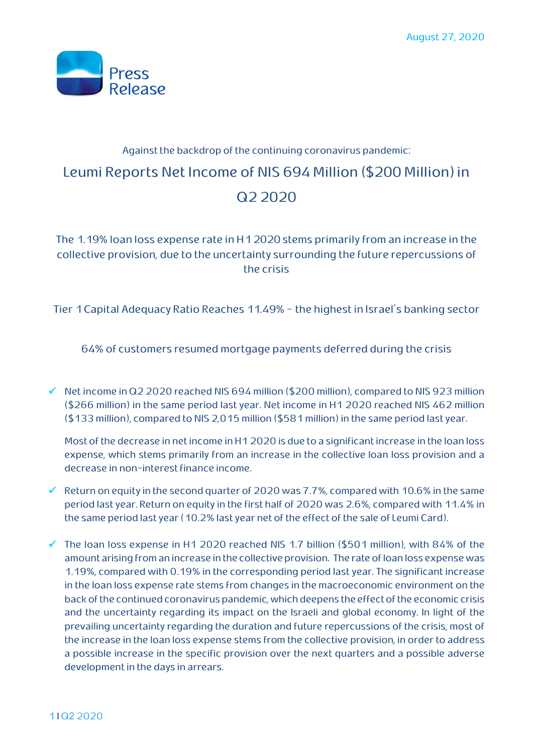

# Against the backdrop of the continuing coronavirus pandemic: Leumi Reports Net Income of NIS 694 Million (\$200 Million)in Q22020

The 1.19% loan loss expense rate in H12020 stems primarily from an increase in the collective provision, due to the uncertainty surrounding the future repercussions of the crisis

Tier 1Capital Adequacy Ratio Reaches 11.49% - the highest in Israel's banking sector

64% of customers resumed mortgage payments deferred during the crisis

 $\checkmark$  Net income in Q2 2020 reached NIS 694 million (\$200 million), compared to NIS 923 million (\$266 million) in the same period last year. Net income in H1 2020 reached NIS 462 million (\$133 million), compared to NIS 2,015 million (\$581 million) in the same period last year.

Most of the decrease in net income in H1 2020 is due to a significant increase in the loan loss expense, which stems primarily from an increase in the collective loan loss provision and a decrease in non-interest finance income.

- Return on equity in the second quarter of 2020 was 7.7%, compared with 10.6% in the same period last year. Return on equity in the first half of 2020 was 2.6%, compared with 11.4% in the same period last year (10.2% last year net of the effect of the sale of Leumi Card).
- The loan loss expense in H1 2020 reached NIS 1.7 billion (\$501 million), with 84% of the amount arising from an increase in the collective provision. The rate ofloan loss expense was 1.19%, compared with 0.19% in the corresponding period last year. The significant increase in the loan loss expense rate stems from changes in the macroeconomic environment on the back of the continued coronavirus pandemic, which deepens the effect of the economic crisis and the uncertainty regarding its impact on the Israeli and global economy. In light of the prevailing uncertainty regarding the duration and future repercussions of the crisis, most of the increase in the loan loss expense stems from the collective provision, in order to address a possible increase in the specific provision over the next quarters and a possible adverse development in the days in arrears.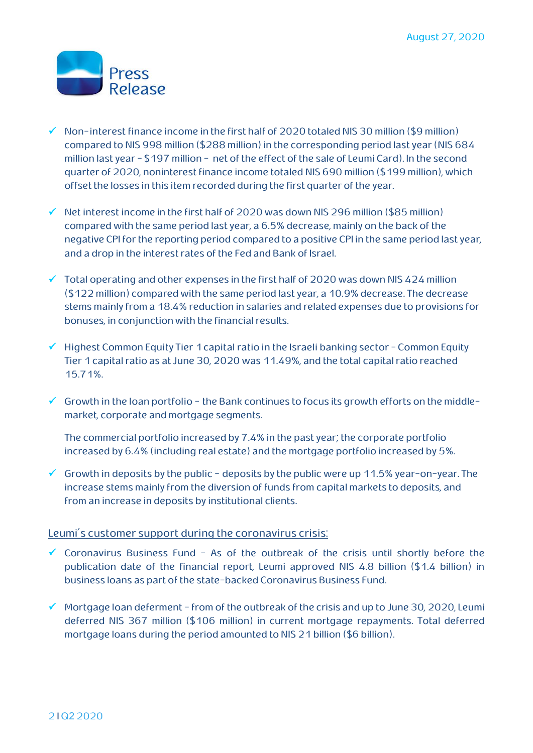

- $\checkmark$  Non-interest finance income in the first half of 2020 totaled NIS 30 million (\$9 million) compared to NIS 998 million (\$288 million) in the corresponding period last year (NIS 684 million last year - \$197 million - net of the effect of the sale of Leumi Card). In the second quarter of 2020, noninterest finance income totaled NIS 690 million (\$199 million), which offset the losses in this item recorded during the first quarter of the year.
- $\checkmark$  Net interest income in the first half of 2020 was down NIS 296 million (\$85 million) compared with the same period last year, a 6.5% decrease, mainly on the back of the negative CPI for the reporting period compared to a positive CPI in the same period last year, and a drop in the interest rates of the Fed and Bank of Israel.
- $\checkmark$  Total operating and other expenses in the first half of 2020 was down NIS 424 million (\$122 million) compared with the same period last year, a 10.9% decrease. The decrease stems mainly from a 18.4% reduction in salaries and related expenses due to provisions for bonuses, in conjunction with the financial results.
- $\checkmark$  Highest Common Equity Tier 1 capital ratio in the Israeli banking sector Common Equity Tier 1 capital ratio as at June 30, 2020 was 11.49%, and the total capital ratio reached 15.71%.
- $\checkmark$  Growth in the loan portfolio the Bank continues to focus its growth efforts on the middlemarket, corporate and mortgage segments.
	- The commercial portfolio increased by 7.4% in the past year; the corporate portfolio increased by 6.4% (including real estate) and the mortgage portfolio increased by 5%.
- $\checkmark$  Growth in deposits by the public deposits by the public were up 11.5% year-on-year. The increase stems mainly from the diversion of funds from capital markets to deposits, and from an increase in deposits by institutional clients.

#### Leumi's customer support during the coronavirus crisis:

- $\checkmark$  Coronavirus Business Fund As of the outbreak of the crisis until shortly before the publication date of the financial report, Leumi approved NIS 4.8 billion (\$1.4 billion) in business loans as part of the state-backed Coronavirus Business Fund.
- $\checkmark$  Mortgage loan deferment from of the outbreak of the crisis and up to June 30, 2020, Leumi deferred NIS 367 million (\$106 million) in current mortgage repayments. Total deferred mortgage loans during the period amounted to NIS 21 billion (\$6 billion).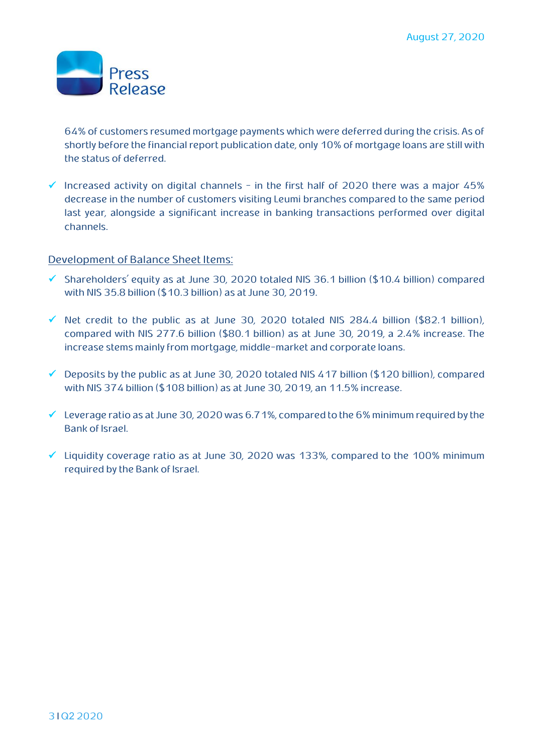

64% of customers resumed mortgage payments which were deferred during the crisis. As of shortly before the financial report publication date, only 10% of mortgage loans are still with the status of deferred.

 $\checkmark$  Increased activity on digital channels - in the first half of 2020 there was a major 45% decrease in the number of customers visiting Leumi branches compared to the same period last year, alongside a significant increase in banking transactions performed over digital channels.

### Development of Balance Sheet Items:

- $\checkmark$  Shareholders' equity as at June 30, 2020 totaled NIS 36.1 billion (\$10.4 billion) compared with NIS 35.8 billion (\$10.3 billion) as at June 30, 2019.
- $\checkmark$  Net credit to the public as at June 30, 2020 totaled NIS 284.4 billion (\$82.1 billion), compared with NIS 277.6 billion (\$80.1 billion) as at June 30, 2019, a 2.4% increase. The increase stems mainly from mortgage, middle-market and corporate loans.
- $\checkmark$  Deposits by the public as at June 30, 2020 totaled NIS 417 billion (\$120 billion), compared with NIS 374 billion (\$108 billion) as at June 30, 2019, an 11.5% increase.
- $\checkmark$  Leverage ratio as at June 30, 2020 was 6.71%, compared to the 6% minimum required by the Bank of Israel.
- $\checkmark$  Liquidity coverage ratio as at June 30, 2020 was 133%, compared to the 100% minimum required by the Bank of Israel.